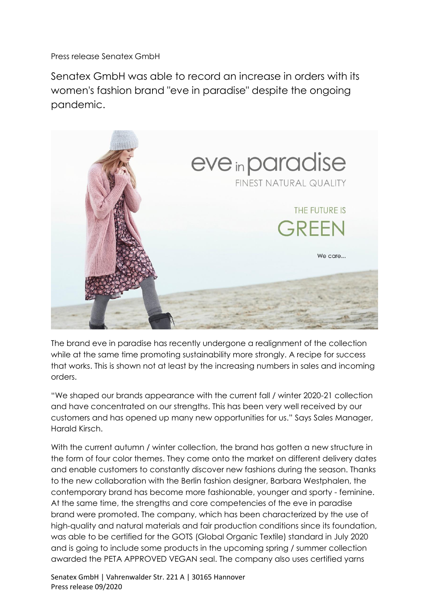Press release Senatex GmbH

Senatex GmbH was able to record an increase in orders with its women's fashion brand "eve in paradise" despite the ongoing pandemic.



The brand eve in paradise has recently undergone a realignment of the collection while at the same time promoting sustainability more strongly. A recipe for success that works. This is shown not at least by the increasing numbers in sales and incoming orders.

"We shaped our brands appearance with the current fall / winter 2020-21 collection and have concentrated on our strengths. This has been very well received by our customers and has opened up many new opportunities for us." Says Sales Manager, Harald Kirsch.

With the current autumn / winter collection, the brand has gotten a new structure in the form of four color themes. They come onto the market on different delivery dates and enable customers to constantly discover new fashions during the season. Thanks to the new collaboration with the Berlin fashion designer, Barbara Westphalen, the contemporary brand has become more fashionable, younger and sporty - feminine. At the same time, the strengths and core competencies of the eve in paradise brand were promoted. The company, which has been characterized by the use of high-quality and natural materials and fair production conditions since its foundation, was able to be certified for the GOTS (Global Organic Textile) standard in July 2020 and is going to include some products in the upcoming spring / summer collection awarded the PETA APPROVED VEGAN seal. The company also uses certified yarns

Senatex GmbH | Vahrenwalder Str. 221 A | 30165 Hannover Press release 09/2020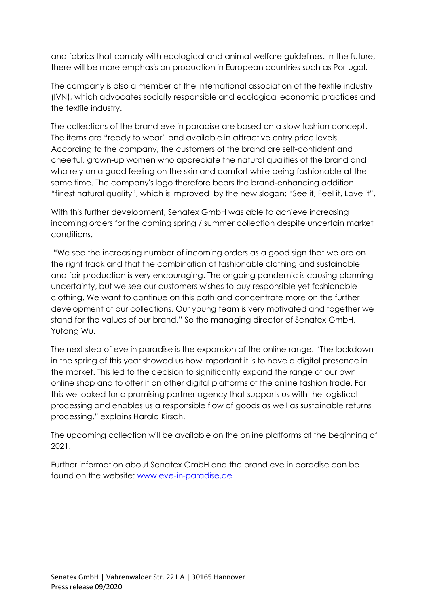and fabrics that comply with ecological and animal welfare guidelines. In the future, there will be more emphasis on production in European countries such as Portugal.

The company is also a member of the international association of the textile industry (IVN), which advocates socially responsible and ecological economic practices and the textile industry.

The collections of the brand eve in paradise are based on a slow fashion concept. The items are "ready to wear" and available in attractive entry price levels. According to the company, the customers of the brand are self-confident and cheerful, grown-up women who appreciate the natural qualities of the brand and who rely on a good feeling on the skin and comfort while being fashionable at the same time. The company's logo therefore bears the brand-enhancing addition "finest natural quality", which is improved by the new slogan: "See it, Feel it, Love it".

With this further development, Senatex GmbH was able to achieve increasing incoming orders for the coming spring / summer collection despite uncertain market conditions.

"We see the increasing number of incoming orders as a good sign that we are on the right track and that the combination of fashionable clothing and sustainable and fair production is very encouraging. The ongoing pandemic is causing planning uncertainty, but we see our customers wishes to buy responsible yet fashionable clothing. We want to continue on this path and concentrate more on the further development of our collections. Our young team is very motivated and together we stand for the values of our brand." So the managing director of Senatex GmbH, Yutang Wu.

The next step of eve in paradise is the expansion of the online range. "The lockdown in the spring of this year showed us how important it is to have a digital presence in the market. This led to the decision to significantly expand the range of our own online shop and to offer it on other digital platforms of the online fashion trade. For this we looked for a promising partner agency that supports us with the logistical processing and enables us a responsible flow of goods as well as sustainable returns processing." explains Harald Kirsch.

The upcoming collection will be available on the online platforms at the beginning of 2021.

Further information about Senatex GmbH and the brand eve in paradise can be found on the website: [www.eve-in-paradise.de](http://www.eve-in-paradise.de/)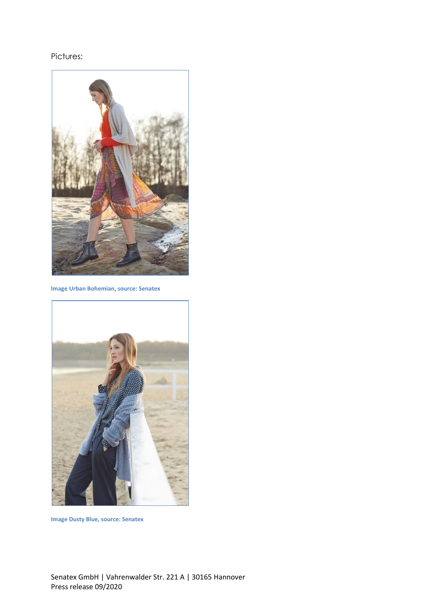## Pictures:



**Image Urban Bohemian, source: Senatex**



**Image Dusty Blue, source: Senatex**